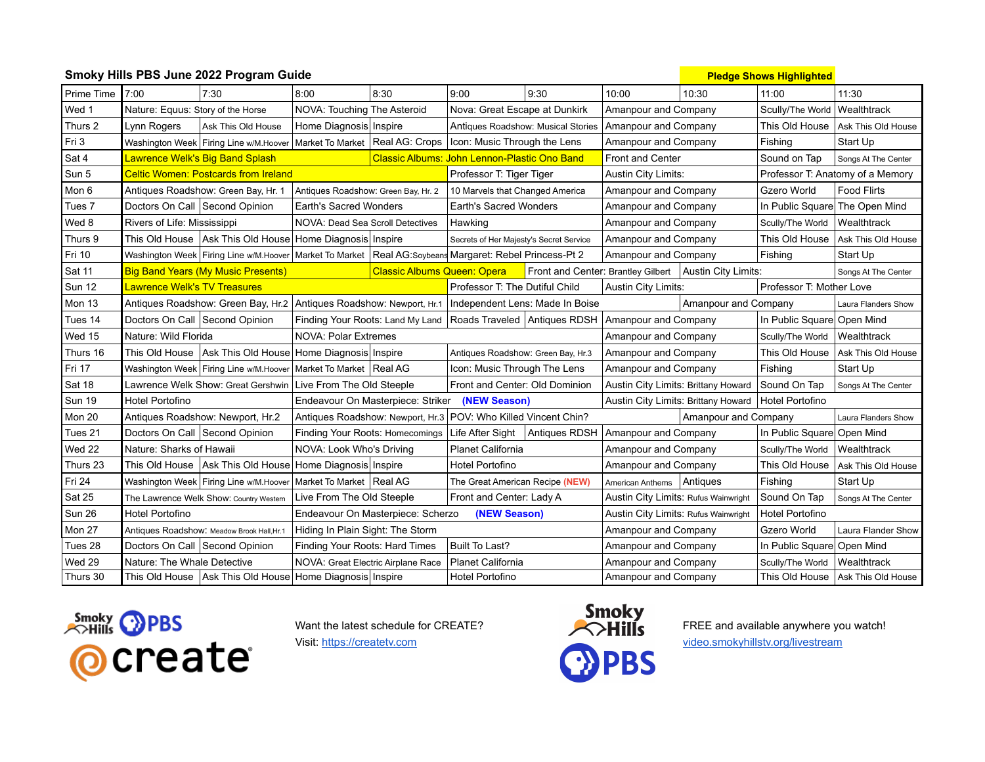#### **Smoky Hills PBS June 2022 Program Guide Pledge Shows Highlighted Pledge Shows Highlighted**

| Prime Time        | 7:00                                        | 7:30                                                                                                       | 8:00                                | 8:30                                                              | 9:00                                         | 9:30                                 | 10:00                   | 10:30                                                    | 11:00                          | 11:30                             |  |
|-------------------|---------------------------------------------|------------------------------------------------------------------------------------------------------------|-------------------------------------|-------------------------------------------------------------------|----------------------------------------------|--------------------------------------|-------------------------|----------------------------------------------------------|--------------------------------|-----------------------------------|--|
| Wed 1             | Nature: Equus: Story of the Horse           |                                                                                                            | NOVA: Touching The Asteroid         |                                                                   | Nova: Great Escape at Dunkirk                |                                      | Amanpour and Company    |                                                          | Scully/The World   Wealthtrack |                                   |  |
| Thurs 2           | Lynn Rogers                                 | Ask This Old House                                                                                         | Home Diagnosis Inspire              |                                                                   |                                              | Antiques Roadshow: Musical Stories   | Amanpour and Company    |                                                          |                                | This Old House Ask This Old House |  |
| Fri 3             |                                             | Washington Week Firing Line w/M.Hoover   Market To Market   Real AG: Crops                                 |                                     |                                                                   | Icon: Music Through the Lens                 |                                      | Amanpour and Company    |                                                          | Fishing                        | Start Up                          |  |
| Sat 4             | Lawrence Welk's Big Band Splash             |                                                                                                            |                                     |                                                                   | Classic Albums: John Lennon-Plastic Ono Band |                                      | <b>Front and Center</b> |                                                          | Sound on Tap                   | Songs At The Center               |  |
| Sun 5             | <b>Celtic Women: Postcards from Ireland</b> |                                                                                                            |                                     | Professor T: Tiger Tiger                                          |                                              | Austin City Limits:                  |                         | Professor T: Anatomy of a Memory                         |                                |                                   |  |
| Mon 6             |                                             | Antiques Roadshow: Green Bay, Hr. 1                                                                        | Antiques Roadshow: Green Bay, Hr. 2 |                                                                   | 10 Marvels that Changed America              |                                      | Amanpour and Company    |                                                          | Gzero World                    | Food Flirts                       |  |
| Tues <sub>7</sub> |                                             | Doctors On Call Second Opinion                                                                             | <b>Earth's Sacred Wonders</b>       |                                                                   | Earth's Sacred Wonders                       |                                      | Amanpour and Company    |                                                          | In Public Square The Open Mind |                                   |  |
| Wed 8             | Rivers of Life: Mississippi                 |                                                                                                            | NOVA: Dead Sea Scroll Detectives    |                                                                   | Hawking                                      |                                      | Amanpour and Company    |                                                          | Scully/The World               | Wealthtrack                       |  |
| Thurs 9           |                                             | This Old House   Ask This Old House   Home Diagnosis   Inspire                                             |                                     |                                                                   | Secrets of Her Majesty's Secret Service      |                                      | Amanpour and Company    |                                                          | This Old House                 | Ask This Old House                |  |
| Fri 10            |                                             | Washington Week Firing Line w/M.Hoover   Market To Market   Real AG:Soybeans Margaret: Rebel Princess-Pt 2 |                                     |                                                                   |                                              |                                      | Amanpour and Company    |                                                          | Fishing                        | Start Up                          |  |
| Sat 11            |                                             | <b>Big Band Years (My Music Presents)</b>                                                                  |                                     | <b>Classic Albums Queen: Opera</b>                                |                                              |                                      |                         | Front and Center: Brantley Gilbert   Austin City Limits: |                                | Songs At The Center               |  |
| <b>Sun 12</b>     | <b>Lawrence Welk's TV Treasures</b>         |                                                                                                            |                                     |                                                                   | Professor T: The Dutiful Child               |                                      | Austin City Limits:     |                                                          | Professor T: Mother Love       |                                   |  |
| Mon 13            |                                             | Antiques Roadshow: Green Bay, Hr.2   Antiques Roadshow: Newport, Hr.1                                      |                                     |                                                                   |                                              | Independent Lens: Made In Boise      |                         | Amanpour and Company                                     |                                | Laura Flanders Show               |  |
| Tues 14           |                                             | Doctors On Call Second Opinion                                                                             |                                     | Finding Your Roots: Land My Land   Roads Traveled   Antiques RDSH |                                              |                                      | Amanpour and Company    |                                                          | In Public Square Open Mind     |                                   |  |
| Wed 15            | Nature: Wild Florida                        |                                                                                                            | <b>NOVA: Polar Extremes</b>         |                                                                   |                                              |                                      | Amanpour and Company    |                                                          | Scully/The World               | <b>Wealthtrack</b>                |  |
| Thurs 16          |                                             | This Old House   Ask This Old House   Home Diagnosis   Inspire                                             |                                     |                                                                   | Antiques Roadshow: Green Bay, Hr.3           |                                      | Amanpour and Company    |                                                          | This Old House                 | Ask This Old House                |  |
| Fri 17            |                                             | Washington Week Firing Line w/M.Hoover   Market To Market   Real AG                                        |                                     |                                                                   | Icon: Music Through The Lens                 |                                      | Amanpour and Company    |                                                          | Fishing                        | Start Up                          |  |
| Sat 18            | Lawrence Welk Show: Great Gershwin          |                                                                                                            |                                     | Live From The Old Steeple                                         |                                              | Front and Center: Old Dominion       |                         | Austin City Limits: Brittany Howard<br>Sound On Tap      |                                | Songs At The Center               |  |
| <b>Sun 19</b>     | <b>Hotel Portofino</b>                      |                                                                                                            |                                     | Endeavour On Masterpiece: Striker (NEW Season)                    |                                              |                                      |                         | Austin City Limits: Brittany Howard                      |                                | Hotel Portofino                   |  |
| Mon 20            |                                             | Antiques Roadshow: Newport, Hr.2                                                                           |                                     | Antiques Roadshow: Newport, Hr.3 POV: Who Killed Vincent Chin?    |                                              |                                      |                         | Amanpour and Company                                     |                                | Laura Flanders Show               |  |
| Tues 21           |                                             | Doctors On Call Second Opinion                                                                             |                                     | Finding Your Roots: Homecomings                                   | Life After Sight   Antiques RDSH             |                                      | Amanpour and Company    |                                                          | In Public Square Open Mind     |                                   |  |
| Wed 22            | Nature: Sharks of Hawaii                    |                                                                                                            | NOVA: Look Who's Driving            |                                                                   | <b>Planet California</b>                     |                                      | Amanpour and Company    |                                                          | Scully/The World   Wealthtrack |                                   |  |
| Thurs 23          |                                             | This Old House   Ask This Old House                                                                        | Home Diagnosis Inspire              |                                                                   | Hotel Portofino                              |                                      | Amanpour and Company    |                                                          | This Old House                 | Ask This Old House                |  |
| Fri 24            |                                             | Washington Week Firing Line w/M.Hoover                                                                     | Market To Market Real AG            |                                                                   | The Great American Recipe (NEW)              |                                      | American Anthems        | Antiques                                                 | Fishing                        | Start Up                          |  |
| <b>Sat 25</b>     |                                             | Live From The Old Steeple<br>The Lawrence Welk Show: Country Western                                       |                                     | Front and Center: Lady A                                          |                                              | Austin City Limits: Rufus Wainwright |                         | Sound On Tap                                             | Songs At The Center            |                                   |  |
| <b>Sun 26</b>     | Hotel Portofino                             |                                                                                                            |                                     | Endeavour On Masterpiece: Scherzo                                 |                                              | (NEW Season)                         |                         | Austin City Limits: Rufus Wainwright                     |                                | Hotel Portofino                   |  |
| Mon 27            | Antiques Roadshow: Meadow Brook Hall, Hr.1  |                                                                                                            | Hiding In Plain Sight: The Storm    |                                                                   |                                              |                                      | Amanpour and Company    |                                                          | Gzero World                    | Laura Flander Show                |  |
| Tues 28           |                                             | Doctors On Call Second Opinion                                                                             | Finding Your Roots: Hard Times      |                                                                   | <b>Built To Last?</b>                        |                                      | Amanpour and Company    |                                                          | In Public Square Open Mind     |                                   |  |
| Wed 29            | Nature: The Whale Detective                 |                                                                                                            | NOVA: Great Electric Airplane Race  |                                                                   | <b>Planet California</b>                     |                                      | Amanpour and Company    |                                                          | Scully/The World               | Wealthtrack                       |  |
| Thurs 30          |                                             | This Old House Ask This Old House Home Diagnosis Inspire                                                   |                                     |                                                                   | Hotel Portofino                              |                                      | Amanpour and Company    |                                                          |                                | This Old House Ask This Old House |  |



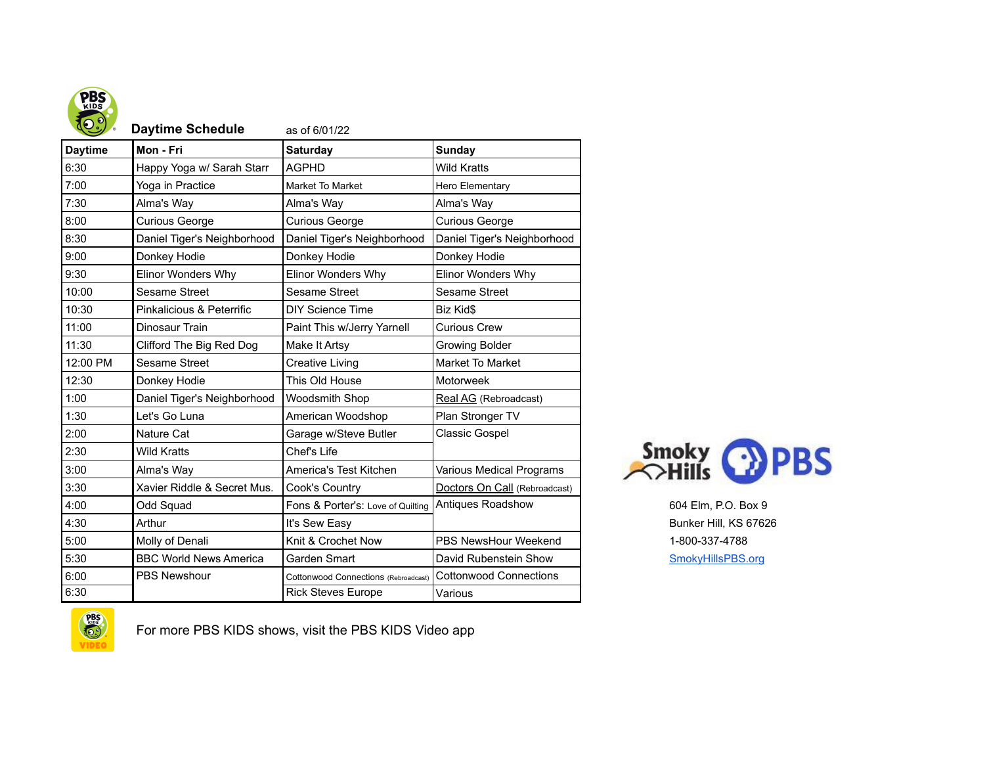

**Daytime Schedule** as of 6/01/22

| <b>Daytime</b> | Mon - Fri                     | <b>Saturday</b>                      | <b>Sunday</b>                 |  |
|----------------|-------------------------------|--------------------------------------|-------------------------------|--|
| 6:30           | Happy Yoga w/ Sarah Starr     | <b>AGPHD</b>                         | <b>Wild Kratts</b>            |  |
| 7:00           | Yoga in Practice              | Market To Market                     | Hero Elementary               |  |
| 7:30           | Alma's Way                    | Alma's Way                           | Alma's Way                    |  |
| 8:00           | <b>Curious George</b>         | Curious George                       | <b>Curious George</b>         |  |
| 8:30           | Daniel Tiger's Neighborhood   | Daniel Tiger's Neighborhood          | Daniel Tiger's Neighborhood   |  |
| 9:00           | Donkey Hodie                  | Donkey Hodie                         | Donkey Hodie                  |  |
| 9:30           | Elinor Wonders Why            | <b>Elinor Wonders Why</b>            | <b>Elinor Wonders Why</b>     |  |
| 10:00          | <b>Sesame Street</b>          | Sesame Street                        | Sesame Street                 |  |
| 10:30          | Pinkalicious & Peterrific     | <b>DIY Science Time</b>              | Biz Kid\$                     |  |
| 11:00          | Dinosaur Train                | Paint This w/Jerry Yarnell           | Curious Crew                  |  |
| 11:30          | Clifford The Big Red Dog      | Make It Artsy                        | Growing Bolder                |  |
| 12:00 PM       | Sesame Street                 | Creative Living                      | Market To Market              |  |
| 12:30          | Donkey Hodie                  | This Old House                       | Motorweek                     |  |
| 1:00           | Daniel Tiger's Neighborhood   | <b>Woodsmith Shop</b>                | Real AG (Rebroadcast)         |  |
| 1:30           | Let's Go Luna                 | American Woodshop                    | Plan Stronger TV              |  |
| 2:00           | Nature Cat                    | Garage w/Steve Butler                | Classic Gospel                |  |
| 2:30           | <b>Wild Kratts</b>            | Chef's Life                          |                               |  |
| 3:00           | Alma's Way                    | America's Test Kitchen               | Various Medical Programs      |  |
| 3:30           | Xavier Riddle & Secret Mus.   | Cook's Country                       | Doctors On Call (Rebroadcast) |  |
| 4:00           | Odd Squad                     | Fons & Porter's: Love of Quilting    | Antiques Roadshow             |  |
| 4:30           | Arthur                        | It's Sew Easy                        |                               |  |
| 5:00           | Molly of Denali               | Knit & Crochet Now                   | PBS NewsHour Weekend          |  |
| 5:30           | <b>BBC World News America</b> | Garden Smart                         | David Rubenstein Show         |  |
| 6:00           | <b>PBS Newshour</b>           | Cottonwood Connections (Rebroadcast) | <b>Cottonwood Connections</b> |  |
| 6:30           |                               | <b>Rick Steves Europe</b>            | Various                       |  |



604 Elm, P.O. Box 9 Bunker Hill, KS 67626 5:00 Molly of Denali Knit & Crochet Now PBS NewsHour Weekend 1-800-337-4788 [SmokyHillsPBS.org](http://smokyhillspbs.org/)



For more PBS KIDS shows, visit the PBS KIDS Video app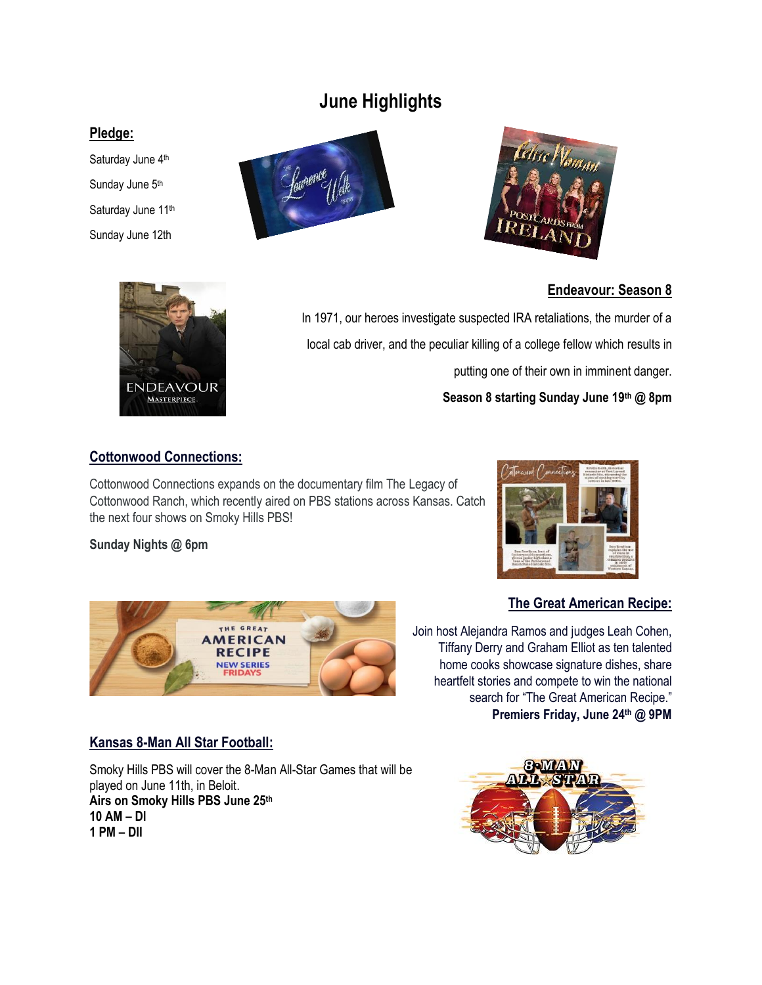# **June Highlights**

#### **Pledge:**

Saturday June 4<sup>th</sup> Sunday June 5<sup>th</sup>

- Saturday June 11th
- Sunday June 12th





### **Endeavour: Season 8**

**ENDEAVOUR** MASTERPIECE.

In 1971, our heroes investigate suspected IRA retaliations, the murder of a local cab driver, and the peculiar killing of a college fellow which results in putting one of their own in imminent danger.

**Season 8 starting Sunday June 19th @ 8pm**

#### **Cottonwood Connections:**

Cottonwood Connections expands on the documentary film The Legacy of Cottonwood Ranch, which recently aired on PBS stations across Kansas. Catch the next four shows on Smoky Hills PBS!

#### **Sunday Nights @ 6pm**





#### **The Great American Recipe:**

Join host Alejandra Ramos and judges Leah Cohen, Tiffany Derry and Graham Elliot as ten talented home cooks showcase signature dishes, share heartfelt stories and compete to win the national search for "The Great American Recipe." **Premiers Friday, June 24 th @ 9PM**

#### **Kansas 8-Man All Star Football:**

Smoky Hills PBS will cover the 8-Man All-Star Games that will be played on June 11th, in Beloit. **Airs on Smoky Hills PBS June 25th 10 AM – Dl 1 PM – Dll**